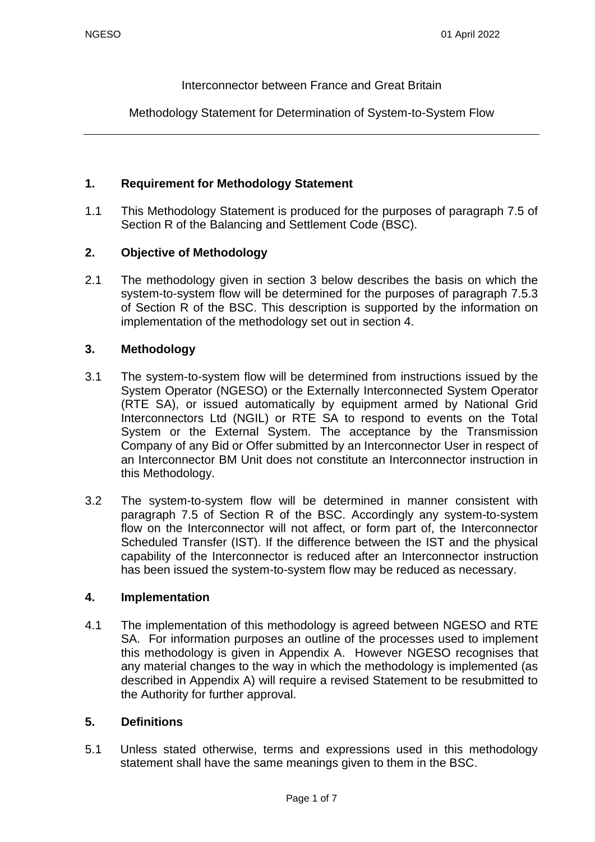Interconnector between France and Great Britain

Methodology Statement for Determination of System-to-System Flow

### **1. Requirement for Methodology Statement**

1.1 This Methodology Statement is produced for the purposes of paragraph 7.5 of Section R of the Balancing and Settlement Code (BSC).

### **2. Objective of Methodology**

2.1 The methodology given in section 3 below describes the basis on which the system-to-system flow will be determined for the purposes of paragraph 7.5.3 of Section R of the BSC. This description is supported by the information on implementation of the methodology set out in section 4.

### **3. Methodology**

- 3.1 The system-to-system flow will be determined from instructions issued by the System Operator (NGESO) or the Externally Interconnected System Operator (RTE SA), or issued automatically by equipment armed by National Grid Interconnectors Ltd (NGIL) or RTE SA to respond to events on the Total System or the External System. The acceptance by the Transmission Company of any Bid or Offer submitted by an Interconnector User in respect of an Interconnector BM Unit does not constitute an Interconnector instruction in this Methodology.
- 3.2 The system-to-system flow will be determined in manner consistent with paragraph 7.5 of Section R of the BSC. Accordingly any system-to-system flow on the Interconnector will not affect, or form part of, the Interconnector Scheduled Transfer (IST). If the difference between the IST and the physical capability of the Interconnector is reduced after an Interconnector instruction has been issued the system-to-system flow may be reduced as necessary.

### **4. Implementation**

4.1 The implementation of this methodology is agreed between NGESO and RTE SA. For information purposes an outline of the processes used to implement this methodology is given in Appendix A. However NGESO recognises that any material changes to the way in which the methodology is implemented (as described in Appendix A) will require a revised Statement to be resubmitted to the Authority for further approval.

### **5. Definitions**

5.1 Unless stated otherwise, terms and expressions used in this methodology statement shall have the same meanings given to them in the BSC.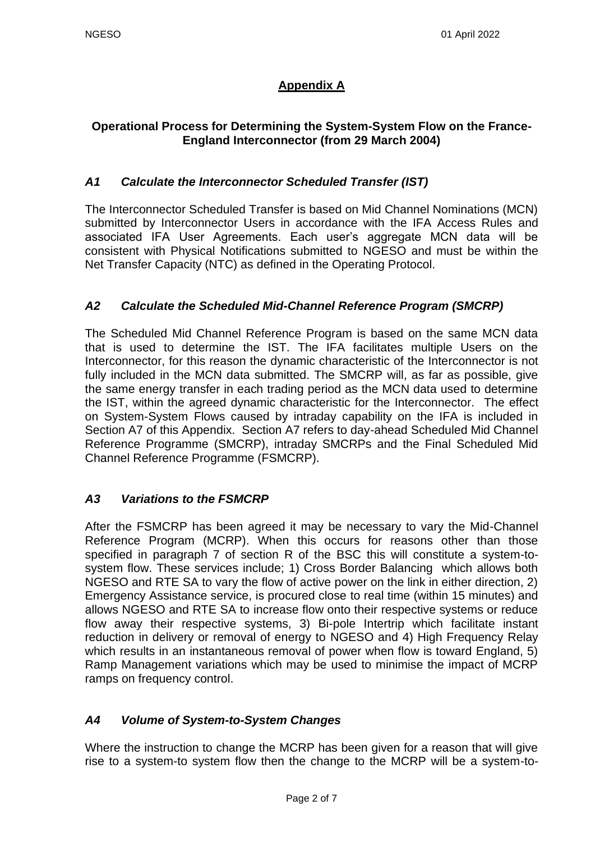# **Appendix A**

# **Operational Process for Determining the System-System Flow on the France-England Interconnector (from 29 March 2004)**

# *A1 Calculate the Interconnector Scheduled Transfer (IST)*

The Interconnector Scheduled Transfer is based on Mid Channel Nominations (MCN) submitted by Interconnector Users in accordance with the IFA Access Rules and associated IFA User Agreements. Each user's aggregate MCN data will be consistent with Physical Notifications submitted to NGESO and must be within the Net Transfer Capacity (NTC) as defined in the Operating Protocol.

## *A2 Calculate the Scheduled Mid-Channel Reference Program (SMCRP)*

The Scheduled Mid Channel Reference Program is based on the same MCN data that is used to determine the IST. The IFA facilitates multiple Users on the Interconnector, for this reason the dynamic characteristic of the Interconnector is not fully included in the MCN data submitted. The SMCRP will, as far as possible, give the same energy transfer in each trading period as the MCN data used to determine the IST, within the agreed dynamic characteristic for the Interconnector. The effect on System-System Flows caused by intraday capability on the IFA is included in Section A7 of this Appendix. Section A7 refers to day-ahead Scheduled Mid Channel Reference Programme (SMCRP), intraday SMCRPs and the Final Scheduled Mid Channel Reference Programme (FSMCRP).

## *A3 Variations to the FSMCRP*

After the FSMCRP has been agreed it may be necessary to vary the Mid-Channel Reference Program (MCRP). When this occurs for reasons other than those specified in paragraph 7 of section R of the BSC this will constitute a system-tosystem flow. These services include; 1) Cross Border Balancing which allows both NGESO and RTE SA to vary the flow of active power on the link in either direction, 2) Emergency Assistance service, is procured close to real time (within 15 minutes) and allows NGESO and RTE SA to increase flow onto their respective systems or reduce flow away their respective systems, 3) Bi-pole Intertrip which facilitate instant reduction in delivery or removal of energy to NGESO and 4) High Frequency Relay which results in an instantaneous removal of power when flow is toward England, 5) Ramp Management variations which may be used to minimise the impact of MCRP ramps on frequency control.

## *A4 Volume of System-to-System Changes*

Where the instruction to change the MCRP has been given for a reason that will give rise to a system-to system flow then the change to the MCRP will be a system-to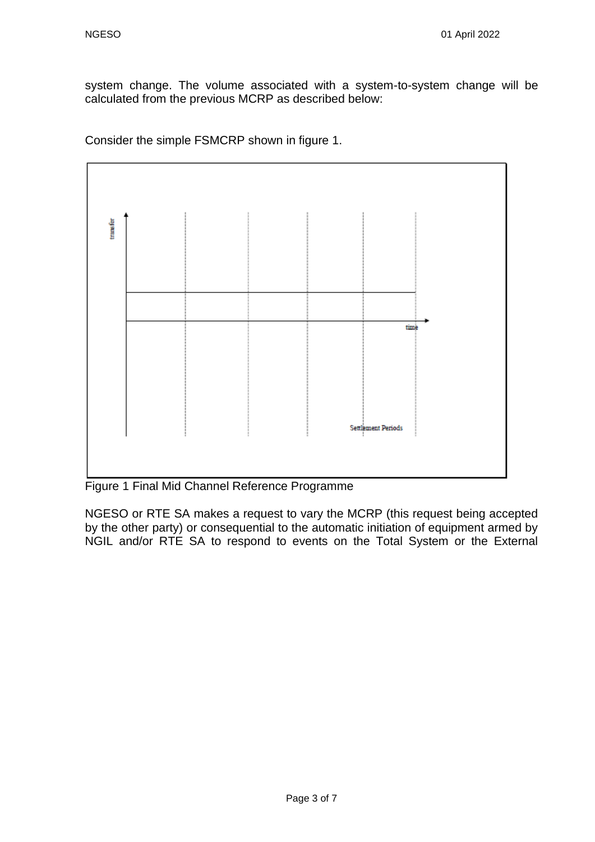system change. The volume associated with a system-to-system change will be calculated from the previous MCRP as described below:

Consider the simple FSMCRP shown in figure 1.



Figure 1 Final Mid Channel Reference Programme

NGESO or RTE SA makes a request to vary the MCRP (this request being accepted by the other party) or consequential to the automatic initiation of equipment armed by NGIL and/or RTE SA to respond to events on the Total System or the External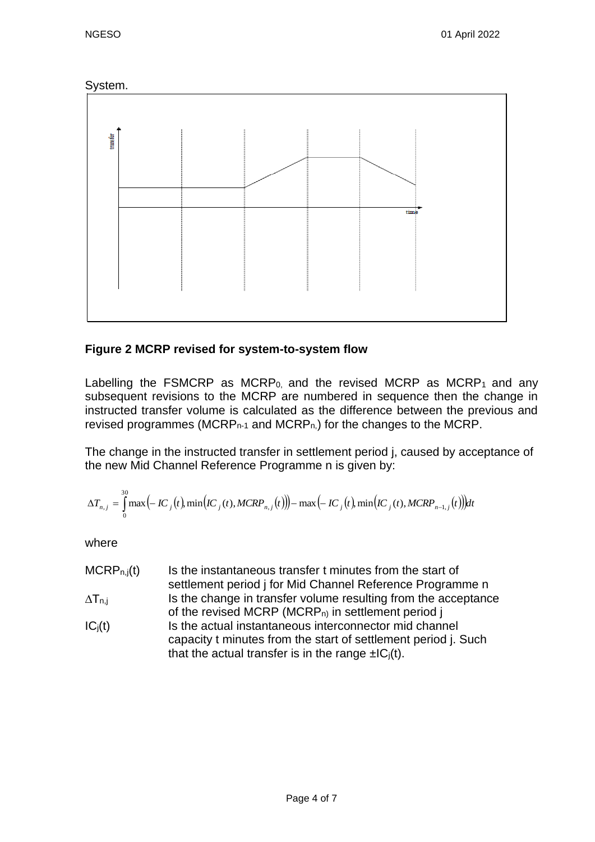



# **Figure 2 MCRP revised for system-to-system flow**

Labelling the FSMCRP as MCRP<sub>0</sub>, and the revised MCRP as MCRP<sub>1</sub> and any subsequent revisions to the MCRP are numbered in sequence then the change in instructed transfer volume is calculated as the difference between the previous and revised programmes (MCRP $n-1$  and MCRP $n$ ) for the changes to the MCRP.

The change in the instructed transfer in settlement period j, caused by acceptance of the new Mid Channel Reference Programme n is given by:

$$
\Delta T_{n,j} = \int_{0}^{30} \max(-IC_{j}(t), \min(IC_{j}(t), MCRP_{n,j}(t)) - \max(-IC_{j}(t), \min(IC_{j}(t), MCRP_{n-1,j}(t)))dt
$$

where

- $MCRP_{n,j}(t)$  Is the instantaneous transfer t minutes from the start of settlement period j for Mid Channel Reference Programme n  $\Delta T_{n,i}$  Is the change in transfer volume resulting from the acceptance of the revised MCRP (MCRP<sub>n)</sub> in settlement period j
- $IC<sub>j</sub>(t)$  Is the actual instantaneous interconnector mid channel capacity t minutes from the start of settlement period j. Such that the actual transfer is in the range  $\pm IC_i(t)$ .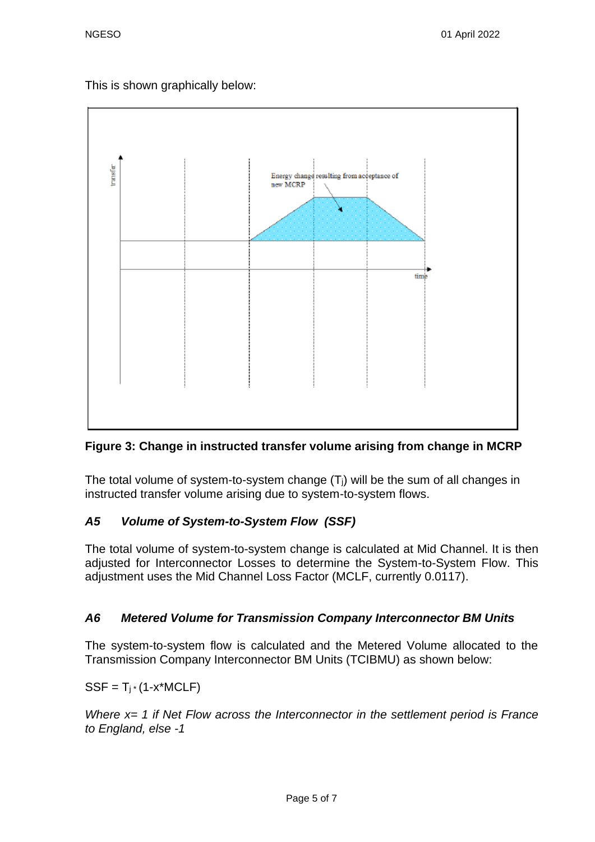This is shown graphically below:



# **Figure 3: Change in instructed transfer volume arising from change in MCRP**

The total volume of system-to-system change  $(T<sub>i</sub>)$  will be the sum of all changes in instructed transfer volume arising due to system-to-system flows.

# *A5 Volume of System-to-System Flow (SSF)*

The total volume of system-to-system change is calculated at Mid Channel. It is then adjusted for Interconnector Losses to determine the System-to-System Flow. This adjustment uses the Mid Channel Loss Factor (MCLF, currently 0.0117).

# *A6 Metered Volume for Transmission Company Interconnector BM Units*

The system-to-system flow is calculated and the Metered Volume allocated to the Transmission Company Interconnector BM Units (TCIBMU) as shown below:

 $SSF = T_i * (1-x^*MCLF)$ 

*Where x= 1 if Net Flow across the Interconnector in the settlement period is France to England, else -1*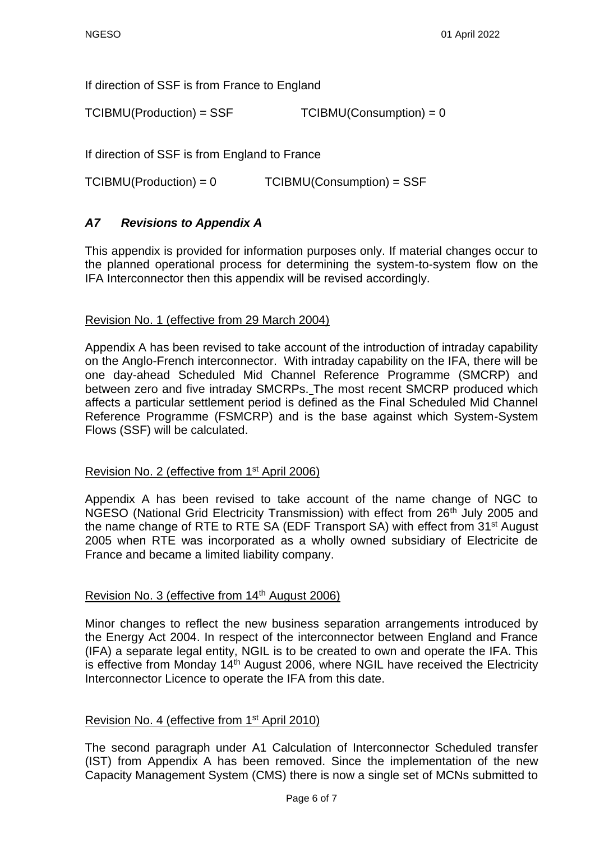If direction of SSF is from France to England

 $TCIBMU(Production) = SSF$   $TCIBMU(Construction) = 0$ 

If direction of SSF is from England to France

TCIBMU(Production) = 0 TCIBMU(Consumption) = SSF

### *A7 Revisions to Appendix A*

This appendix is provided for information purposes only. If material changes occur to the planned operational process for determining the system-to-system flow on the IFA Interconnector then this appendix will be revised accordingly.

#### Revision No. 1 (effective from 29 March 2004)

Appendix A has been revised to take account of the introduction of intraday capability on the Anglo-French interconnector. With intraday capability on the IFA, there will be one day-ahead Scheduled Mid Channel Reference Programme (SMCRP) and between zero and five intraday SMCRPs. The most recent SMCRP produced which affects a particular settlement period is defined as the Final Scheduled Mid Channel Reference Programme (FSMCRP) and is the base against which System-System Flows (SSF) will be calculated.

#### Revision No. 2 (effective from 1st April 2006)

Appendix A has been revised to take account of the name change of NGC to NGESO (National Grid Electricity Transmission) with effect from 26<sup>th</sup> July 2005 and the name change of RTE to RTE SA (EDF Transport SA) with effect from 31<sup>st</sup> August 2005 when RTE was incorporated as a wholly owned subsidiary of Electricite de France and became a limited liability company.

### Revision No. 3 (effective from 14th August 2006)

Minor changes to reflect the new business separation arrangements introduced by the Energy Act 2004. In respect of the interconnector between England and France (IFA) a separate legal entity, NGIL is to be created to own and operate the IFA. This is effective from Monday  $14<sup>th</sup>$  August 2006, where NGIL have received the Electricity Interconnector Licence to operate the IFA from this date.

### Revision No. 4 (effective from 1st April 2010)

The second paragraph under A1 Calculation of Interconnector Scheduled transfer (IST) from Appendix A has been removed. Since the implementation of the new Capacity Management System (CMS) there is now a single set of MCNs submitted to